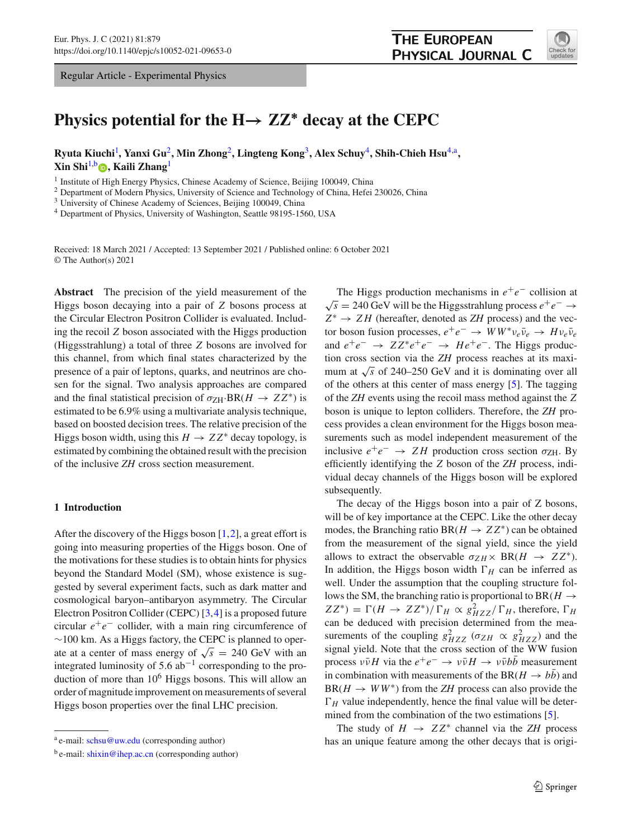Regular Article - Experimental Physics



# **Physics potential for the**  $H \rightarrow ZZ^*$  **decay at the CEPC**

**Ryuta Kiuchi**[1](#page-0-0) **, Yanxi Gu**[2](#page-0-0)**, Min Zhong**[2](#page-0-0)**, Lingteng Kong**[3](#page-0-1)**, Alex Schuy**[4](#page-0-2)**, Shih-Chieh Hsu**[4,](#page-0-2)a**, Xin Shi**[1,](#page-0-0)b **[,](http://orcid.org/0000-0001-9910-9345) Kaili Zhang**[1](#page-0-0)

<sup>1</sup> Institute of High Energy Physics, Chinese Academy of Science, Beijing 100049, China

<sup>2</sup> Department of Modern Physics, University of Science and Technology of China, Hefei 230026, China

<sup>3</sup> University of Chinese Academy of Sciences, Beijing 100049, China

<sup>4</sup> Department of Physics, University of Washington, Seattle 98195-1560, USA

Received: 18 March 2021 / Accepted: 13 September 2021 / Published online: 6 October 2021 © The Author(s) 2021

**Abstract** The precision of the yield measurement of the Higgs boson decaying into a pair of *Z* bosons process at the Circular Electron Positron Collider is evaluated. Including the recoil *Z* boson associated with the Higgs production (Higgsstrahlung) a total of three *Z* bosons are involved for this channel, from which final states characterized by the presence of a pair of leptons, quarks, and neutrinos are chosen for the signal. Two analysis approaches are compared and the final statistical precision of  $\sigma_{ZH}$ ·BR( $H \to ZZ^*$ ) is estimated to be 6.9% using a multivariate analysis technique, based on boosted decision trees. The relative precision of the Higgs boson width, using this  $H \to ZZ^*$  decay topology, is estimated by combining the obtained result with the precision of the inclusive *ZH* cross section measurement.

# <span id="page-0-3"></span>**1 Introduction**

After the discovery of the Higgs boson  $[1,2]$  $[1,2]$  $[1,2]$ , a great effort is going into measuring properties of the Higgs boson. One of the motivations for these studies is to obtain hints for physics beyond the Standard Model (SM), whose existence is suggested by several experiment facts, such as dark matter and cosmological baryon–antibaryon asymmetry. The Circular Electron Positron Collider (CEPC) [\[3](#page-8-2),[4\]](#page-8-3) is a proposed future circular  $e^+e^-$  collider, with a main ring circumference of ∼100 km. As a Higgs factory, the CEPC is planned to operate at a center of mass energy of  $\sqrt{s}$  = 240 GeV with an integrated luminosity of 5.6  $ab^{-1}$  corresponding to the production of more than  $10^6$  Higgs bosons. This will allow an order of magnitude improvement on measurements of several Higgs boson properties over the final LHC precision.

<span id="page-0-2"></span><span id="page-0-1"></span><span id="page-0-0"></span>The Higgs production mechanisms in  $e^+e^-$  collision at <sup>√</sup>*<sup>s</sup>* <sup>=</sup> 240 GeV will be the Higgsstrahlung process *<sup>e</sup>*+*e*<sup>−</sup> <sup>→</sup> *Z*<sup>∗</sup> → *Z H* (hereafter, denoted as *ZH* process) and the vector boson fusion processes,  $e^+e^- \rightarrow WW^*\nu_e\bar{\nu}_e \rightarrow H\nu_e\bar{\nu}_e$ and  $e^+e^- \rightarrow ZZ^*e^+e^- \rightarrow He^+e^-$ . The Higgs production cross section via the *ZH* process reaches at its maximum at  $\sqrt{s}$  of 240–250 GeV and it is dominating over all of the others at this center of mass energy [\[5](#page-8-4)]. The tagging of the *ZH* events using the recoil mass method against the *Z* boson is unique to lepton colliders. Therefore, the *ZH* process provides a clean environment for the Higgs boson measurements such as model independent measurement of the inclusive  $e^+e^ \rightarrow$  *ZH* production cross section  $\sigma$ <sub>ZH</sub>. By efficiently identifying the *Z* boson of the *ZH* process, individual decay channels of the Higgs boson will be explored subsequently.

The decay of the Higgs boson into a pair of Z bosons, will be of key importance at the CEPC. Like the other decay modes, the Branching ratio BR( $H \rightarrow ZZ^*$ ) can be obtained from the measurement of the signal yield, since the yield allows to extract the observable  $\sigma_{ZH} \times BR(H \rightarrow ZZ^*)$ . In addition, the Higgs boson width  $\Gamma_H$  can be inferred as well. Under the assumption that the coupling structure follows the SM, the branching ratio is proportional to BR( $H \rightarrow$  $ZZ^*$ ) =  $\Gamma(H \to ZZ^*)/\Gamma_H \propto g_{HZZ}^2/\Gamma_H$ , therefore,  $\Gamma_H$ can be deduced with precision determined from the measurements of the coupling  $g_{HZZ}^2$  ( $\sigma_{ZH} \propto g_{HZZ}^2$ ) and the signal yield. Note that the cross section of the WW fusion process  $v\bar{v}H$  via the  $e^+e^- \rightarrow v\bar{v}H \rightarrow v\bar{v}b\bar{b}$  measurement in combination with measurements of the BR( $H \rightarrow bb$ ) and  $BR(H \rightarrow WW^*)$  from the *ZH* process can also provide the  $\Gamma_H$  value independently, hence the final value will be deter-mined from the combination of the two estimations [\[5](#page-8-4)].

The study of  $H \rightarrow ZZ^*$  channel via the *ZH* process has an unique feature among the other decays that is origi-

a e-mail: [schsu@uw.edu](mailto:schsu@uw.edu) (corresponding author)

 $b$  e-mail: [shixin@ihep.ac.cn](mailto:shixin@ihep.ac.cn) (corresponding author)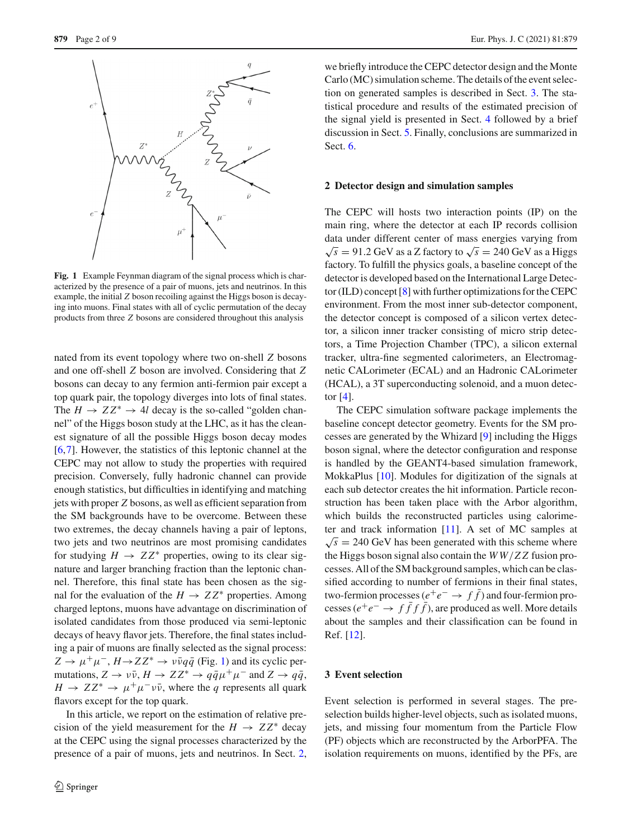

<span id="page-1-0"></span>**Fig. 1** Example Feynman diagram of the signal process which is characterized by the presence of a pair of muons, jets and neutrinos. In this example, the initial *Z* boson recoiling against the Higgs boson is decaying into muons. Final states with all of cyclic permutation of the decay products from three *Z* bosons are considered throughout this analysis

nated from its event topology where two on-shell *Z* bosons and one off-shell *Z* boson are involved. Considering that *Z* bosons can decay to any fermion anti-fermion pair except a top quark pair, the topology diverges into lots of final states. The  $H \to ZZ^* \to 4l$  decay is the so-called "golden channel" of the Higgs boson study at the LHC, as it has the cleanest signature of all the possible Higgs boson decay modes [\[6](#page-8-5),[7\]](#page-8-6). However, the statistics of this leptonic channel at the CEPC may not allow to study the properties with required precision. Conversely, fully hadronic channel can provide enough statistics, but difficulties in identifying and matching jets with proper *Z* bosons, as well as efficient separation from the SM backgrounds have to be overcome. Between these two extremes, the decay channels having a pair of leptons, two jets and two neutrinos are most promising candidates for studying  $H \to ZZ^*$  properties, owing to its clear signature and larger branching fraction than the leptonic channel. Therefore, this final state has been chosen as the signal for the evaluation of the  $H \to ZZ^*$  properties. Among charged leptons, muons have advantage on discrimination of isolated candidates from those produced via semi-leptonic decays of heavy flavor jets. Therefore, the final states including a pair of muons are finally selected as the signal process:  $Z \rightarrow \mu^+\mu^-, H \rightarrow ZZ^* \rightarrow \nu\bar{\nu}q\bar{q}$  (Fig. [1\)](#page-1-0) and its cyclic permutations,  $Z \to \nu \bar{\nu}$ ,  $H \to ZZ^* \to q \bar{q} \mu^+ \mu^-$  and  $Z \to q \bar{q}$ ,  $H \to ZZ^* \to \mu^+ \mu^- \nu \bar{\nu}$ , where the *q* represents all quark flavors except for the top quark.

In this article, we report on the estimation of relative precision of the yield measurement for the  $H \rightarrow ZZ^*$  decay at the CEPC using the signal processes characterized by the presence of a pair of muons, jets and neutrinos. In Sect. [2,](#page-1-1)

we briefly introduce the CEPC detector design and the Monte Carlo (MC) simulation scheme. The details of the event selection on generated samples is described in Sect. [3.](#page-1-2) The statistical procedure and results of the estimated precision of the signal yield is presented in Sect. [4](#page-4-0) followed by a brief discussion in Sect. [5.](#page-7-0) Finally, conclusions are summarized in Sect. [6.](#page-7-1)

# <span id="page-1-1"></span>**2 Detector design and simulation samples**

The CEPC will hosts two interaction points (IP) on the main ring, where the detector at each IP records collision data under different center of mass energies varying from  $\sqrt{s}$  = 91.2 GeV as a Z factory to  $\sqrt{s}$  = 240 GeV as a Higgs factory. To fulfill the physics goals, a baseline concept of the detector is developed based on the International Large Detector (ILD) concept [\[8](#page-8-7)] with further optimizations for the CEPC environment. From the most inner sub-detector component, the detector concept is composed of a silicon vertex detector, a silicon inner tracker consisting of micro strip detectors, a Time Projection Chamber (TPC), a silicon external tracker, ultra-fine segmented calorimeters, an Electromagnetic CALorimeter (ECAL) and an Hadronic CALorimeter (HCAL), a 3T superconducting solenoid, and a muon detector  $[4]$  $[4]$ .

The CEPC simulation software package implements the baseline concept detector geometry. Events for the SM processes are generated by the Whizard [\[9](#page-8-8)] including the Higgs boson signal, where the detector configuration and response is handled by the GEANT4-based simulation framework, MokkaPlus [\[10](#page-8-9)]. Modules for digitization of the signals at each sub detector creates the hit information. Particle reconstruction has been taken place with the Arbor algorithm, which builds the reconstructed particles using calorimeter and track information [\[11\]](#page-8-10). A set of MC samples at  $\sqrt{s}$  = 240 GeV has been generated with this scheme where the Higgs boson signal also contain the *W W*/*Z Z* fusion processes. All of the SM background samples, which can be classified according to number of fermions in their final states, two-fermion processes ( $e^+e^- \rightarrow f f$ ) and four-fermion processes ( $e^+e^- \rightarrow f\bar{f}f\bar{f}$ ), are produced as well. More details about the samples and their classification can be found in Ref. [\[12\]](#page-8-11).

## <span id="page-1-2"></span>**3 Event selection**

Event selection is performed in several stages. The preselection builds higher-level objects, such as isolated muons, jets, and missing four momentum from the Particle Flow (PF) objects which are reconstructed by the ArborPFA. The isolation requirements on muons, identified by the PFs, are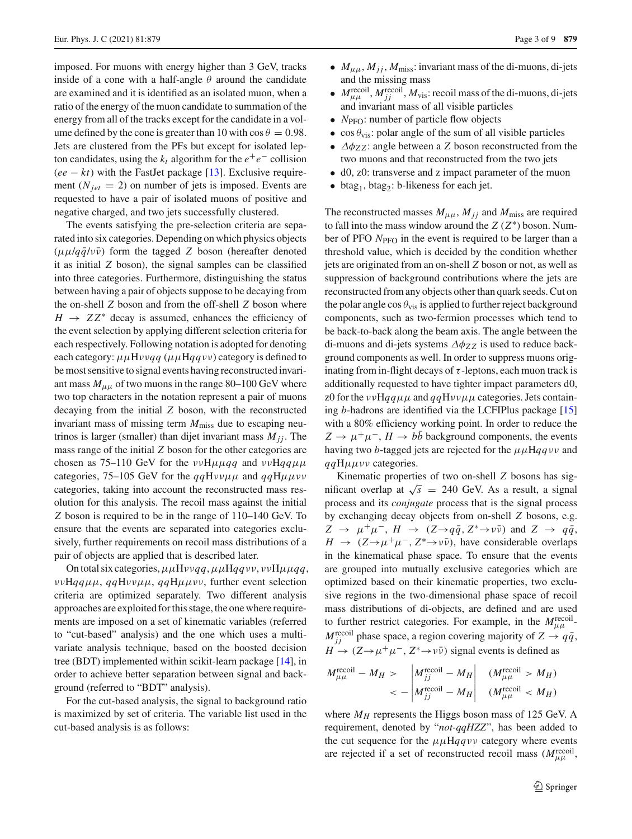imposed. For muons with energy higher than 3 GeV, tracks inside of a cone with a half-angle  $\theta$  around the candidate are examined and it is identified as an isolated muon, when a ratio of the energy of the muon candidate to summation of the energy from all of the tracks except for the candidate in a volume defined by the cone is greater than 10 with  $\cos \theta = 0.98$ . Jets are clustered from the PFs but except for isolated lepton candidates, using the  $k_t$  algorithm for the  $e^+e^-$  collision  $(ee - kt)$  with the FastJet package [\[13\]](#page-8-12). Exclusive requirement ( $N_{jet}$  = 2) on number of jets is imposed. Events are requested to have a pair of isolated muons of positive and negative charged, and two jets successfully clustered.

The events satisfying the pre-selection criteria are separated into six categories. Depending on which physics objects  $(\mu\mu/q\bar{q}/v\bar{v})$  form the tagged *Z* boson (hereafter denoted it as initial *Z* boson), the signal samples can be classified into three categories. Furthermore, distinguishing the status between having a pair of objects suppose to be decaying from the on-shell *Z* boson and from the off-shell *Z* boson where  $H \rightarrow ZZ^*$  decay is assumed, enhances the efficiency of the event selection by applying different selection criteria for each respectively. Following notation is adopted for denoting each category: μμHνν*qq* (μμH*qq*νν) category is defined to be most sensitive to signal events having reconstructed invariant mass  $M_{\mu\mu}$  of two muons in the range 80–100 GeV where two top characters in the notation represent a pair of muons decaying from the initial *Z* boson, with the reconstructed invariant mass of missing term  $M<sub>miss</sub>$  due to escaping neutrinos is larger (smaller) than dijet invariant mass  $M_{ij}$ . The mass range of the initial *Z* boson for the other categories are chosen as 75–110 GeV for the  $\nu\nu H \mu \mu q q$  and  $\nu\nu H q q \mu \mu$ categories, 75–105 GeV for the  $qqH\nu\nu\mu\mu$  and  $qqH\mu\mu\nu\nu$ categories, taking into account the reconstructed mass resolution for this analysis. The recoil mass against the initial *Z* boson is required to be in the range of 110–140 GeV. To ensure that the events are separated into categories exclusively, further requirements on recoil mass distributions of a pair of objects are applied that is described later.

On total six categories,μμHνν*qq*,μμH*qq*νν, ννHμμ*qq*, ννH*qq*μμ, *qq*Hννμμ, *qq*Hμμνν, further event selection criteria are optimized separately. Two different analysis approaches are exploited for this stage, the one where requirements are imposed on a set of kinematic variables (referred to "cut-based" analysis) and the one which uses a multivariate analysis technique, based on the boosted decision tree (BDT) implemented within scikit-learn package [\[14](#page-8-13)], in order to achieve better separation between signal and background (referred to "BDT" analysis).

For the cut-based analysis, the signal to background ratio is maximized by set of criteria. The variable list used in the cut-based analysis is as follows:

- $M_{\mu\mu}$ ,  $M_{jj}$ ,  $M_{\text{miss}}$ : invariant mass of the di-muons, di-jets and the missing mass
- $\bullet$  *M*<sub> $\mu\mu$ </sub>  $M_{jj}^{\text{recoil}}$ , *M*<sub>vis</sub>: recoil mass of the di-muons, di-jets and invariant mass of all visible particles
- $N_{\text{PFO}}$ : number of particle flow objects
- cos  $\theta_{\text{vis}}$ : polar angle of the sum of all visible particles
- $\Delta \phi_{ZZ}$ : angle between a *Z* boson reconstructed from the two muons and that reconstructed from the two jets
- d0, z0: transverse and z impact parameter of the muon
- btag<sub>1</sub>, btag<sub>2</sub>: b-likeness for each jet.

The reconstructed masses  $M_{\mu\mu}$ ,  $M_{jj}$  and  $M_{\text{miss}}$  are required to fall into the mass window around the *Z* (*Z*∗) boson. Number of PFO N<sub>PFO</sub> in the event is required to be larger than a threshold value, which is decided by the condition whether jets are originated from an on-shell *Z* boson or not, as well as suppression of background contributions where the jets are reconstructed from any objects other than quark seeds. Cut on the polar angle  $\cos \theta_{\text{vis}}$  is applied to further reject background components, such as two-fermion processes which tend to be back-to-back along the beam axis. The angle between the di-muons and di-jets systems  $\Delta \phi_{ZZ}$  is used to reduce background components as well. In order to suppress muons originating from in-flight decays of  $\tau$ -leptons, each muon track is additionally requested to have tighter impact parameters d0, z0 for the  $\nu\nu$ H $qq\mu\mu$  and  $qqH\nu\nu\mu\mu$  categories. Jets containing *b*-hadrons are identified via the LCFIPlus package [\[15\]](#page-8-14) with a 80% efficiency working point. In order to reduce the  $Z \rightarrow \mu^+\mu^-, H \rightarrow bb$  background components, the events having two *b*-tagged jets are rejected for the  $\mu\mu$ Hqqvv and *qq*Hμμνν categories.

Kinematic properties of two on-shell *Z* bosons has significant overlap at  $\sqrt{s}$  = 240 GeV. As a result, a signal process and its *conjugate* process that is the signal process by exchanging decay objects from on-shell *Z* bosons, e.g.  $Z \rightarrow \mu^+\mu^-, H \rightarrow (Z \rightarrow q\bar{q}, Z^* \rightarrow \nu\bar{\nu})$  and  $Z \rightarrow q\bar{q}$ ,  $H \rightarrow (Z \rightarrow \mu^+ \mu^-, Z^* \rightarrow \nu \bar{\nu})$ , have considerable overlaps in the kinematical phase space. To ensure that the events are grouped into mutually exclusive categories which are optimized based on their kinematic properties, two exclusive regions in the two-dimensional phase space of recoil mass distributions of di-objects, are defined and are used to further restrict categories. For example, in the  $M_{\mu\mu}^{\text{recoil}}$  $M_{jj}^{\text{recoil}}$  phase space, a region covering majority of  $Z \rightarrow q\bar{q}$ ,  $H \to (Z \to \mu^+ \mu^-, Z^* \to \nu \bar{\nu})$  signal events is defined as

$$
M_{\mu\mu}^{\text{recoil}} - M_H > \left| M_{jj}^{\text{recoil}} - M_H \right| \quad (M_{\mu\mu}^{\text{recoil}} > M_H) < - \left| M_{jj}^{\text{recoil}} - M_H \right| \quad (M_{\mu\mu}^{\text{recoil}} < M_H)
$$

where  $M_H$  represents the Higgs boson mass of 125 GeV. A requirement, denoted by "*not-qqHZZ*", has been added to the cut sequence for the  $\mu\mu$ H $qq\nu\nu$  category where events are rejected if a set of reconstructed recoil mass  $(M<sub>\mu\mu</sub><sup>recoil</sup>$ ,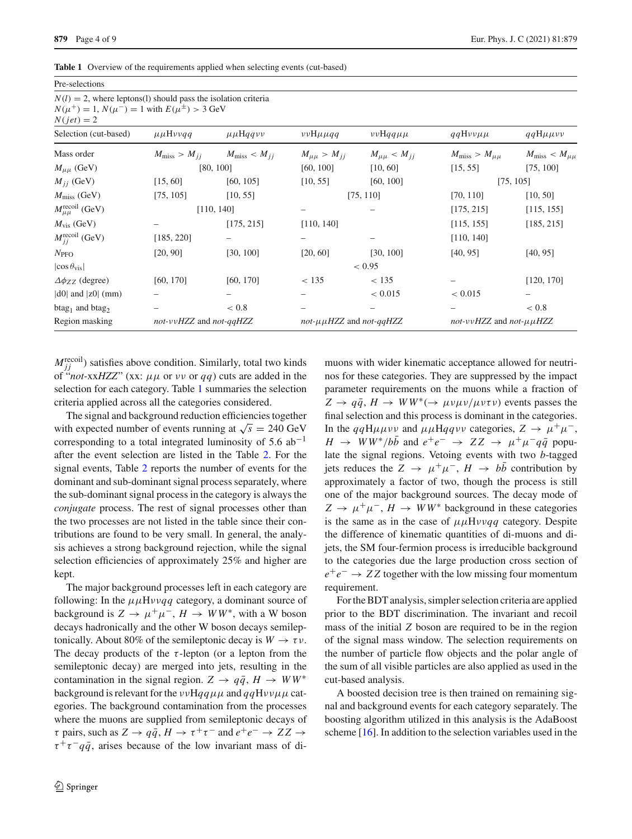Pre-selections

<span id="page-3-0"></span>

|  |  | Table 1 Overview of the requirements applied when selecting events (cut-based) |  |  |  |
|--|--|--------------------------------------------------------------------------------|--|--|--|
|--|--|--------------------------------------------------------------------------------|--|--|--|

| $N(l) = 2$ , where leptons(1) should pass the isolation criteria<br>$N(\mu^+) = 1, N(\mu^-) = 1$ with $E(\mu^{\pm}) > 3$ GeV<br>$N(jet) = 2$ |                           |                                                       |                                 |                       |                                 |                             |
|----------------------------------------------------------------------------------------------------------------------------------------------|---------------------------|-------------------------------------------------------|---------------------------------|-----------------------|---------------------------------|-----------------------------|
| Selection (cut-based)                                                                                                                        | $\mu\mu H\nu\nu q\bar{q}$ | $\mu\mu$ Hqqvv                                        | $\nu\nu H\mu\mu q\eta$          | $\nu\nu$ Hqq $\mu\mu$ | $qqH\nu\nu\mu\mu$               | $qqH\mu\mu\nu\nu$           |
| Mass order                                                                                                                                   |                           | $M_{\text{miss}} > M_{ij}$ $M_{\text{miss}} < M_{ij}$ | $M_{\mu\mu} > M_{ii}$           | $M_{\mu\mu} < M_{ij}$ | $M_{\rm miss} > M_{\mu\mu}$     | $M_{\rm miss} < M_{\mu\mu}$ |
| $M_{\mu\mu}$ (GeV)                                                                                                                           |                           | [80, 100]                                             | [60, 100]                       | [10, 60]              | [15, 55]                        | [75, 100]                   |
| $M_{ii}$ (GeV)                                                                                                                               | [15, 60]                  | [60, 105]                                             | [10, 55]                        | [60, 100]             |                                 | [75, 105]                   |
| $M_{\rm miss}$ (GeV)                                                                                                                         | [75, 105]                 | [10, 55]                                              |                                 | [75, 110]             | [70, 110]                       | [10, 50]                    |
| $M_{\mu\mu}^{\text{recoil}}$ (GeV)                                                                                                           |                           | [110, 140]                                            |                                 |                       | [175, 215]                      | [115, 155]                  |
| $M_{\text{vis}}$ (GeV)                                                                                                                       |                           | [175, 215]                                            | [110, 140]                      |                       | [115, 155]                      | [185, 215]                  |
| $M_{jj}^{\text{recoil}}$ (GeV)                                                                                                               | [185, 220]                |                                                       |                                 |                       | [110, 140]                      |                             |
| $N_{\text{PFO}}$                                                                                                                             | [20, 90]                  | [30, 100]                                             | [20, 60]                        | [30, 100]             | [40, 95]                        | [40, 95]                    |
| $\cos \theta_{\rm vis}$                                                                                                                      |                           |                                                       |                                 | < 0.95                |                                 |                             |
| $\Delta \phi_{ZZ}$ (degree)                                                                                                                  | [60, 170]                 | [60, 170]                                             | < 135                           | < 135                 |                                 | [120, 170]                  |
| $ d0 $ and $ z0 $ (mm)                                                                                                                       |                           |                                                       |                                 | < 0.015               | < 0.015                         | $\qquad \qquad -$           |
| $btag1$ and $btag2$                                                                                                                          |                           | < 0.8                                                 |                                 | -                     |                                 | ${}< 0.8$                   |
| Region masking                                                                                                                               | not-vvHZZ and not-qqHZZ   |                                                       | not- $\mu\mu HZZ$ and not-qqHZZ |                       | not-vvHZZ and not- $\mu\mu$ HZZ |                             |

 $M_{jj}^{\text{recoil}}$ ) satisfies above condition. Similarly, total two kinds of "*not*-xxHZZ" (xx:  $\mu\mu$  or  $\nu\nu$  or  $qq$ ) cuts are added in the selection for each category. Table [1](#page-3-0) summaries the selection criteria applied across all the categories considered.

The signal and background reduction efficiencies together with expected number of events running at  $\sqrt{s} = 240 \text{ GeV}$ corresponding to a total integrated luminosity of 5.6  $ab^{-1}$ after the event selection are listed in the Table [2.](#page-4-1) For the signal events, Table [2](#page-4-1) reports the number of events for the dominant and sub-dominant signal process separately, where the sub-dominant signal process in the category is always the *conjugate* process. The rest of signal processes other than the two processes are not listed in the table since their contributions are found to be very small. In general, the analysis achieves a strong background rejection, while the signal selection efficiencies of approximately 25% and higher are kept.

The major background processes left in each category are following: In the  $\mu\mu H\nu\nu qq$  category, a dominant source of background is  $Z \to \mu^+\mu^-$ ,  $H \to WW^*$ , with a W boson decays hadronically and the other W boson decays semileptonically. About 80% of the semileptonic decay is  $W \to \tau \nu$ . The decay products of the  $\tau$ -lepton (or a lepton from the semileptonic decay) are merged into jets, resulting in the contamination in the signal region.  $Z \rightarrow q\bar{q}$ ,  $H \rightarrow WW^*$ background is relevant for the ννH*qq*μμ and *qq*Hννμμ categories. The background contamination from the processes where the muons are supplied from semileptonic decays of  $\tau$  pairs, such as  $Z \to q\bar{q}$ ,  $H \to \tau^+\tau^-$  and  $e^+e^- \to ZZ \to \tau^ \tau^+\tau^-q\bar{q}$ , arises because of the low invariant mass of dimuons with wider kinematic acceptance allowed for neutrinos for these categories. They are suppressed by the impact parameter requirements on the muons while a fraction of  $Z \rightarrow q\bar{q}$ ,  $H \rightarrow WW^*(\rightarrow \mu\nu\mu\nu/\mu\nu\tau\nu)$  events passes the final selection and this process is dominant in the categories. In the  $qqH\mu\mu\nu\nu$  and  $\mu\mu Hqq\nu\nu$  categories,  $Z \rightarrow \mu^+\mu^-$ ,  $H \rightarrow WW^*/b\bar{b}$  and  $e^+e^- \rightarrow ZZ \rightarrow \mu^+\mu^-q\bar{q}$  populate the signal regions. Vetoing events with two *b*-tagged jets reduces the  $Z \rightarrow \mu^+\mu^-$ ,  $H \rightarrow b\bar{b}$  contribution by approximately a factor of two, though the process is still one of the major background sources. The decay mode of  $Z \rightarrow \mu^+\mu^-, H \rightarrow WW^*$  background in these categories is the same as in the case of  $\mu\mu H\nu\nu qq$  category. Despite the difference of kinematic quantities of di-muons and dijets, the SM four-fermion process is irreducible background to the categories due the large production cross section of *e*+*e*<sup>−</sup> → *Z Z* together with the low missing four momentum requirement.

For the BDT analysis, simpler selection criteria are applied prior to the BDT discrimination. The invariant and recoil mass of the initial *Z* boson are required to be in the region of the signal mass window. The selection requirements on the number of particle flow objects and the polar angle of the sum of all visible particles are also applied as used in the cut-based analysis.

A boosted decision tree is then trained on remaining signal and background events for each category separately. The boosting algorithm utilized in this analysis is the AdaBoost scheme [\[16](#page-8-15)]. In addition to the selection variables used in the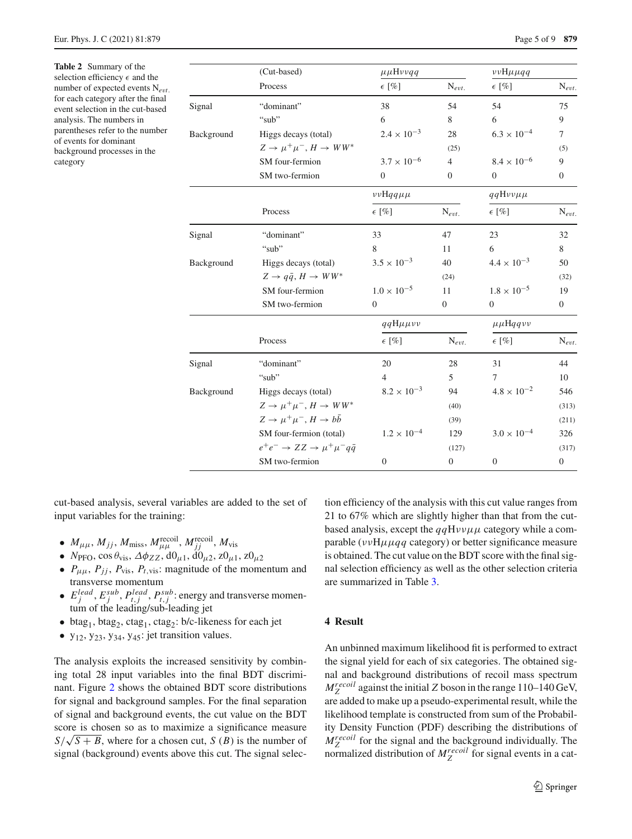<span id="page-4-1"></span>**Table 2** Summary of the selection efficiency  $\epsilon$  and the number of expected events N*e*v*t*. for each category after the final event selection in the cut-based analysis. The numbers in parentheses refer to the number of events for dominant background processes in the category

|            | (Cut-based)                                             | $\mu\mu H\nu\nu qq$   |                  | $\nu\nu H\mu\mu qq$  |                  |
|------------|---------------------------------------------------------|-----------------------|------------------|----------------------|------------------|
|            | Process                                                 | $\epsilon$ [%]        | $N_{evt.}$       | $\epsilon$ [%]       | $N_{evt.}$       |
| Signal     | "dominant"                                              | 38                    | 54               | 54                   | 75               |
|            | "sub"                                                   | 6                     | 8                | 6                    | 9                |
| Background | Higgs decays (total)                                    | $2.4 \times 10^{-3}$  | 28               | $6.3 \times 10^{-4}$ | $\overline{7}$   |
|            | $Z \rightarrow \mu^+ \mu^-$ , $H \rightarrow WW^*$      |                       | (25)             |                      | (5)              |
|            | SM four-fermion                                         | $3.7 \times 10^{-6}$  | $\overline{4}$   | $8.4 \times 10^{-6}$ | 9                |
|            | SM two-fermion                                          | $\mathbf{0}$          | $\overline{0}$   | $\overline{0}$       | $\overline{0}$   |
|            |                                                         | $\nu\nu$ Hqq $\mu\mu$ |                  | $qqH\nu\nu\mu\mu$    |                  |
|            | Process                                                 | $\epsilon$ [%]        | $N_{evt.}$       | $\epsilon$ [%]       | $N_{evt.}$       |
| Signal     | "dominant"                                              | 33                    | 47               | 23                   | 32               |
|            | "sub"                                                   | 8                     | 11               | 6                    | 8                |
| Background | Higgs decays (total)                                    | $3.5 \times 10^{-3}$  | 40               | $4.4 \times 10^{-3}$ | 50               |
|            | $Z \rightarrow q\bar{q}$ , $H \rightarrow WW^*$         |                       | (24)             |                      | (32)             |
|            | SM four-fermion                                         | $1.0 \times 10^{-5}$  | 11               | $1.8 \times 10^{-5}$ | 19               |
|            | SM two-fermion                                          | $\theta$              | $\overline{0}$   | $\theta$             | $\overline{0}$   |
|            |                                                         | $qqH\mu\mu\nu\nu$     |                  | $\mu\mu$ Hqqvv       |                  |
|            | Process                                                 | $\epsilon$ [%]        | $N_{evt.}$       | $\epsilon$ [%]       | $N_{evt.}$       |
| Signal     | "dominant"                                              | 20                    | 28               | 31                   | 44               |
|            | "sub"                                                   | $\overline{4}$        | 5                | 7                    | 10               |
| Background | Higgs decays (total)                                    | $8.2 \times 10^{-3}$  | 94               | $4.8 \times 10^{-2}$ | 546              |
|            | $Z \rightarrow \mu^+ \mu^-, H \rightarrow WW^*$         |                       | (40)             |                      | (313)            |
|            | $Z \rightarrow \mu^+ \mu^-$ , $H \rightarrow b\bar{b}$  |                       | (39)             |                      | (211)            |
|            | SM four-fermion (total)                                 | $1.2 \times 10^{-4}$  | 129              | $3.0 \times 10^{-4}$ | 326              |
|            | $e^+e^- \rightarrow ZZ \rightarrow \mu^+\mu^- q\bar{q}$ |                       | (127)            |                      | (317)            |
|            | SM two-fermion                                          | $\theta$              | $\boldsymbol{0}$ | $\boldsymbol{0}$     | $\boldsymbol{0}$ |

cut-based analysis, several variables are added to the set of input variables for the training:

- $\bullet$   $M_{\mu\mu}$ ,  $M_{jj}$ ,  $M_{\text{miss}}$ ,  $M_{\mu\mu}^{\text{recoil}}$ ,  $M_{jj}^{\text{recoil}}$ ,  $M_{\text{vis}}$
- $N_{\text{PFO}}$ , cos  $\theta_{\text{vis}}$ ,  $\Delta \phi_{ZZ}$ ,  $d\theta_{\mu 1}$ ,  $d\theta_{\mu 2}$ ,  $z\theta_{\mu 1}$ ,  $z\theta_{\mu 2}$
- $P_{\mu\mu}$ ,  $P_{jj}$ ,  $P_{vis}$ ,  $P_{t,vis}$ : magnitude of the momentum and transverse momentum
- $E_j^{lead}, E_j^{sub}, P_{t,j}^{lead}, P_{t,j}^{sub}$ : energy and transverse momentum of the leading/sub-leading jet
- btag<sub>1</sub>, btag<sub>2</sub>, ctag<sub>1</sub>, ctag<sub>2</sub>: b/c-likeness for each jet
- $y_{12}$ ,  $y_{23}$ ,  $y_{34}$ ,  $y_{45}$ : jet transition values.

The analysis exploits the increased sensitivity by combining total 28 input variables into the final BDT discriminant. Figure [2](#page-5-0) shows the obtained BDT score distributions for signal and background samples. For the final separation of signal and background events, the cut value on the BDT score is chosen so as to maximize a significance measure  $S/\sqrt{S+B}$ , where for a chosen cut, *S* (*B*) is the number of signal (background) events above this cut. The signal selection efficiency of the analysis with this cut value ranges from 21 to 67% which are slightly higher than that from the cutbased analysis, except the  $qqH\nu\nu\mu\mu$  category while a comparable ( $\nu \nu H \mu \mu qq$  category) or better significance measure is obtained. The cut value on the BDT score with the final signal selection efficiency as well as the other selection criteria are summarized in Table [3.](#page-5-1)

# <span id="page-4-0"></span>**4 Result**

An unbinned maximum likelihood fit is performed to extract the signal yield for each of six categories. The obtained signal and background distributions of recoil mass spectrum  $M_Z^{recoil}$  against the initial *Z* boson in the range 110–140 GeV, are added to make up a pseudo-experimental result, while the likelihood template is constructed from sum of the Probability Density Function (PDF) describing the distributions of  $M_Z^{recoil}$  for the signal and the background individually. The normalized distribution of  $M_Z^{recoil}$  for signal events in a cat-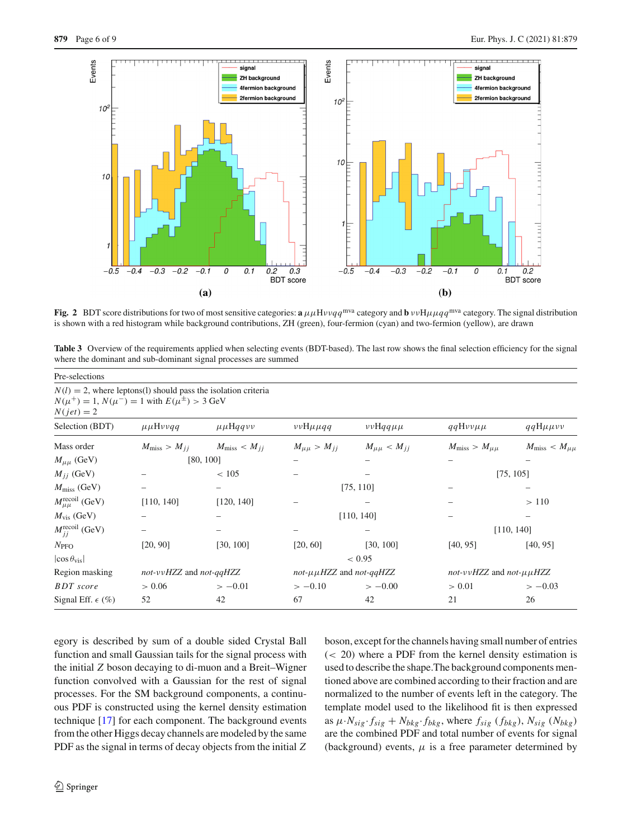

<span id="page-5-0"></span>**Fig. 2** BDT score distributions for two of most sensitive categories: **a**  $\mu\mu H\nu\nu qq^{mva}$  category and **b**  $\nu\nu H\nmu\mu qq^{mva}$  category. The signal distribution is shown with a red histogram while background contributions, ZH (green), four-fermion (cyan) and two-fermion (yellow), are drawn

<span id="page-5-1"></span>**Table 3** Overview of the requirements applied when selecting events (BDT-based). The last row shows the final selection efficiency for the signal where the dominant and sub-dominant signal processes are summed

|                                    |                                                                                                                              | where the dominant and sub-dominant signal processes are summed |                                 |                       |                                 |                             |
|------------------------------------|------------------------------------------------------------------------------------------------------------------------------|-----------------------------------------------------------------|---------------------------------|-----------------------|---------------------------------|-----------------------------|
| Pre-selections                     |                                                                                                                              |                                                                 |                                 |                       |                                 |                             |
| $N(jet) = 2$                       | $N(l) = 2$ , where leptons(1) should pass the isolation criteria<br>$N(\mu^+) = 1, N(\mu^-) = 1$ with $E(\mu^{\pm}) > 3$ GeV |                                                                 |                                 |                       |                                 |                             |
| Selection (BDT)                    | $\mu\mu H\nu\nu q\bar{q}$                                                                                                    | $\mu\mu$ Hqqvv                                                  | $\nu\nu H\mu\mu q\eta$          | $\nu\nu$ Hqq $\mu\mu$ | $qqH\nu\nu\mu\mu$               | $qqH\mu\mu\nu\nu$           |
| Mass order                         | $M_{\rm miss} > M_{ij}$                                                                                                      | $M_{\rm miss} < M_{ij}$                                         | $M_{\mu\mu} > M_{jj}$           | $M_{\mu\mu} < M_{jj}$ | $M_{\rm miss} > M_{\mu\mu}$     | $M_{\rm miss} < M_{\mu\mu}$ |
| $M_{\mu\mu}$ (GeV)                 |                                                                                                                              | [80, 100]                                                       |                                 |                       |                                 |                             |
| $M_{ij}$ (GeV)                     |                                                                                                                              | < 105                                                           |                                 |                       |                                 | [75, 105]                   |
| $M_{\rm miss}$ (GeV)               |                                                                                                                              | -                                                               |                                 | [75, 110]             |                                 |                             |
| $M_{\mu\mu}^{\text{recoil}}$ (GeV) | [110, 140]                                                                                                                   | [120, 140]                                                      |                                 |                       |                                 | >110                        |
| $M_{\text{vis}}$ (GeV)             |                                                                                                                              |                                                                 |                                 | [110, 140]            |                                 |                             |
| $M_{ii}^{\text{recoil}}$ (GeV)     |                                                                                                                              |                                                                 |                                 |                       |                                 | [110, 140]                  |
| $N_{\text{PFO}}$                   | [20, 90]                                                                                                                     | [30, 100]                                                       | [20, 60]                        | [30, 100]             | [40, 95]                        | [40, 95]                    |
| $\cos \theta_{\rm vis}$            | < 0.95                                                                                                                       |                                                                 |                                 |                       |                                 |                             |
| Region masking                     | not-vvHZZ and not-qqHZZ                                                                                                      |                                                                 | not- $\mu\mu HZZ$ and not-qqHZZ |                       | not-vvHZZ and not- $\mu\mu$ HZZ |                             |
| <b>BDT</b> score                   | > 0.06                                                                                                                       | $>-0.01$                                                        | $>-0.10$                        | $>-0.00$              | > 0.01                          | $>-0.03$                    |
| Signal Eff. $\epsilon$ (%)         | 52                                                                                                                           | 42                                                              | 67                              | 42                    | 21                              | 26                          |

egory is described by sum of a double sided Crystal Ball function and small Gaussian tails for the signal process with the initial *Z* boson decaying to di-muon and a Breit–Wigner function convolved with a Gaussian for the rest of signal processes. For the SM background components, a continuous PDF is constructed using the kernel density estimation technique [\[17\]](#page-8-16) for each component. The background events from the other Higgs decay channels are modeled by the same PDF as the signal in terms of decay objects from the initial *Z*

boson, except for the channels having small number of entries (< 20) where a PDF from the kernel density estimation is used to describe the shape.The background components mentioned above are combined according to their fraction and are normalized to the number of events left in the category. The template model used to the likelihood fit is then expressed as  $\mu \cdot N_{sig} \cdot f_{sig} + N_{bkg} \cdot f_{bkg}$ , where  $f_{sig}$  ( $f_{bkg}$ ),  $N_{sig}$  ( $N_{bkg}$ ) are the combined PDF and total number of events for signal (background) events,  $\mu$  is a free parameter determined by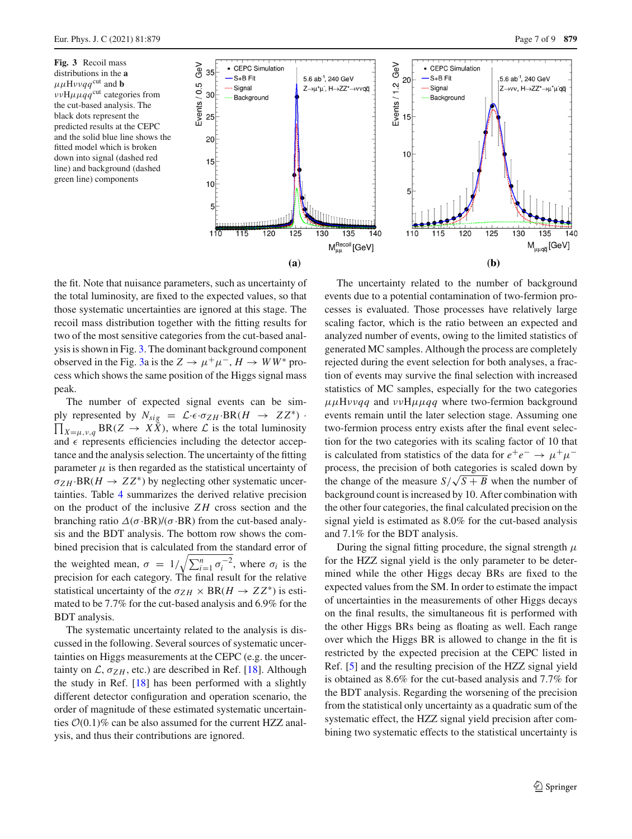<span id="page-6-0"></span>**Fig. 3** Recoil mass distributions in the **a**  $\mu\mu$ Hvvaa<sup>cut</sup> and **b** 



the fit. Note that nuisance parameters, such as uncertainty of the total luminosity, are fixed to the expected values, so that those systematic uncertainties are ignored at this stage. The recoil mass distribution together with the fitting results for two of the most sensitive categories from the cut-based analysis is shown in Fig. [3.](#page-6-0) The dominant background component observed in the Fig. [3a](#page-6-0) is the  $Z \to \mu^+\mu^-$ ,  $H \to WW^*$  process which shows the same position of the Higgs signal mass peak.

The number of expected signal events can be simply represented by  $N_{sig} = \mathcal{L} \cdot \epsilon \cdot \sigma_{ZH} \cdot BR(H \to ZZ^*) \cdot \prod_{X=\mu,\nu,q} BR(Z \to X\bar{X})$ , where  $\mathcal{L}$  is the total luminosity and  $\epsilon$  represents efficiencies including the detector acceptance and the analysis selection. The uncertainty of the fitting parameter  $\mu$  is then regarded as the statistical uncertainty of  $\sigma_{ZH}$ ·BR( $H \to ZZ^*$ ) by neglecting other systematic uncertainties. Table [4](#page-7-2) summarizes the derived relative precision on the product of the inclusive *Z H* cross section and the branching ratio  $\Delta(\sigma \cdot BR)/(\sigma \cdot BR)$  from the cut-based analysis and the BDT analysis. The bottom row shows the combined precision that is calculated from the standard error of the weighted mean,  $\sigma = 1/\sqrt{\sum_{i=1}^{n} \sigma_i^{-2}}$ , where  $\sigma_i$  is the precision for each category. The final result for the relative statistical uncertainty of the  $\sigma_{ZH} \times BR(H \rightarrow ZZ^*)$  is estimated to be 7.7% for the cut-based analysis and 6.9% for the BDT analysis.

The systematic uncertainty related to the analysis is discussed in the following. Several sources of systematic uncertainties on Higgs measurements at the CEPC (e.g. the uncertainty on  $\mathcal{L}$ ,  $\sigma_{ZH}$ , etc.) are described in Ref. [\[18](#page-8-17)]. Although the study in Ref. [\[18\]](#page-8-17) has been performed with a slightly different detector configuration and operation scenario, the order of magnitude of these estimated systematic uncertainties  $O(0.1)\%$  can be also assumed for the current HZZ analysis, and thus their contributions are ignored.

The uncertainty related to the number of background events due to a potential contamination of two-fermion processes is evaluated. Those processes have relatively large scaling factor, which is the ratio between an expected and analyzed number of events, owing to the limited statistics of generated MC samples. Although the process are completely rejected during the event selection for both analyses, a fraction of events may survive the final selection with increased statistics of MC samples, especially for the two categories μμHνν*qq* and ννHμμ*qq* where two-fermion background events remain until the later selection stage. Assuming one two-fermion process entry exists after the final event selection for the two categories with its scaling factor of 10 that is calculated from statistics of the data for  $e^+e^- \rightarrow \mu^+\mu^$ process, the precision of both categories is scaled down by the change of the measure  $S/\sqrt{S+B}$  when the number of background count is increased by 10. After combination with the other four categories, the final calculated precision on the signal yield is estimated as 8.0% for the cut-based analysis and 7.1% for the BDT analysis.

During the signal fitting procedure, the signal strength  $\mu$ for the HZZ signal yield is the only parameter to be determined while the other Higgs decay BRs are fixed to the expected values from the SM. In order to estimate the impact of uncertainties in the measurements of other Higgs decays on the final results, the simultaneous fit is performed with the other Higgs BRs being as floating as well. Each range over which the Higgs BR is allowed to change in the fit is restricted by the expected precision at the CEPC listed in Ref. [\[5](#page-8-4)] and the resulting precision of the HZZ signal yield is obtained as 8.6% for the cut-based analysis and 7.7% for the BDT analysis. Regarding the worsening of the precision from the statistical only uncertainty as a quadratic sum of the systematic effect, the HZZ signal yield precision after combining two systematic effects to the statistical uncertainty is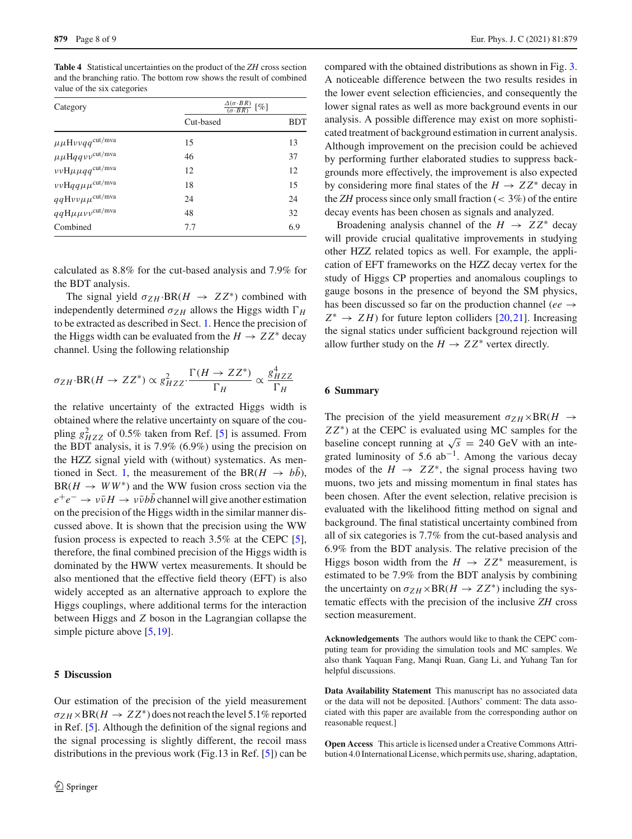<span id="page-7-2"></span>**Table 4** Statistical uncertainties on the product of the *ZH* cross section and the branching ratio. The bottom row shows the result of combined value of the six categories

| Category                                                                    | $\frac{\Delta(\sigma \cdot BR)}{(\sigma \cdot BR)}$ [%] |            |  |
|-----------------------------------------------------------------------------|---------------------------------------------------------|------------|--|
|                                                                             | Cut-based                                               | <b>BDT</b> |  |
| $\mu\mu\mathrm{H}\nu\nu q\,q^{\mathrm{cut}/\mathrm{m}\mathrm{v}\mathrm{a}}$ | 15                                                      | 13         |  |
| $\mu\mu{\rm H} q\bar q\nu v^{\rm cut/mva}$                                  | 46                                                      | 37         |  |
| $\nu\nu$ H $\mu\mu$ qq <sup>cut/mva</sup>                                   | 12                                                      | 12         |  |
| $\nu\nu$ Hqq $\mu\mu$ <sup>cut/mva</sup>                                    | 18                                                      | 15         |  |
| $qqH\nu\nu\mu\mu^{\text{cut}/\text{mva}}$                                   | 24                                                      | 24         |  |
| $qq{\rm H}\mu\mu\nu\nu^{\rm cut/mva}$                                       | 48                                                      | 32         |  |
| Combined                                                                    | 7.7                                                     | 6.9        |  |

calculated as 8.8% for the cut-based analysis and 7.9% for the BDT analysis.

The signal yield  $\sigma_{ZH}$ ·BR( $H \rightarrow ZZ^*$ ) combined with independently determined  $\sigma_{ZH}$  allows the Higgs width  $\Gamma_H$ to be extracted as described in Sect. [1.](#page-0-3) Hence the precision of the Higgs width can be evaluated from the  $H \to ZZ^*$  decay channel. Using the following relationship

$$
\sigma_{ZH} \cdot \text{BR}(H \to ZZ^*) \propto g_{HZZ}^2 \cdot \frac{\Gamma(H \to ZZ^*)}{\Gamma_H} \propto \frac{g_{HZZ}^4}{\Gamma_H}
$$

the relative uncertainty of the extracted Higgs width is obtained where the relative uncertainty on square of the coupling  $g_{HZZ}^2$  of 0.5% taken from Ref. [\[5\]](#page-8-4) is assumed. From the BDT analysis, it is 7.9% (6.9%) using the precision on the HZZ signal yield with (without) systematics. As men-tioned in Sect. [1,](#page-0-3) the measurement of the BR( $H \rightarrow b\bar{b}$ ),  $BR(H \rightarrow WW^*)$  and the WW fusion cross section via the  $e^+e^- \rightarrow \nu \bar{\nu} H \rightarrow \nu \bar{\nu} b \bar{b}$  channel will give another estimation on the precision of the Higgs width in the similar manner discussed above. It is shown that the precision using the WW fusion process is expected to reach 3.5% at the CEPC [\[5](#page-8-4)], therefore, the final combined precision of the Higgs width is dominated by the HWW vertex measurements. It should be also mentioned that the effective field theory (EFT) is also widely accepted as an alternative approach to explore the Higgs couplings, where additional terms for the interaction between Higgs and *Z* boson in the Lagrangian collapse the simple picture above [\[5,](#page-8-4)[19\]](#page-8-18).

# <span id="page-7-0"></span>**5 Discussion**

compared with the obtained distributions as shown in Fig. [3.](#page-6-0) A noticeable difference between the two results resides in the lower event selection efficiencies, and consequently the lower signal rates as well as more background events in our analysis. A possible difference may exist on more sophisticated treatment of background estimation in current analysis. Although improvement on the precision could be achieved by performing further elaborated studies to suppress backgrounds more effectively, the improvement is also expected by considering more final states of the  $H \to ZZ^*$  decay in the *ZH* process since only small fraction ( $\lt$  3%) of the entire decay events has been chosen as signals and analyzed.

Broadening analysis channel of the  $H \rightarrow ZZ^*$  decay will provide crucial qualitative improvements in studying other HZZ related topics as well. For example, the application of EFT frameworks on the HZZ decay vertex for the study of Higgs CP properties and anomalous couplings to gauge bosons in the presence of beyond the SM physics, has been discussed so far on the production channel (*ee* → *Z*<sup>∗</sup> → *Z H*) for future lepton colliders [\[20,](#page-8-19)[21\]](#page-8-20). Increasing the signal statics under sufficient background rejection will allow further study on the  $H \to ZZ^*$  vertex directly.

#### <span id="page-7-1"></span>**6 Summary**

The precision of the yield measurement  $\sigma_{ZH} \times BR(H \rightarrow$ *ZZ*<sup>∗</sup>) at the CEPC is evaluated using MC samples for the baseline concept running at  $\sqrt{s}$  = 240 GeV with an integrated luminosity of 5.6  $ab^{-1}$ . Among the various decay modes of the  $H \rightarrow ZZ^*$ , the signal process having two muons, two jets and missing momentum in final states has been chosen. After the event selection, relative precision is evaluated with the likelihood fitting method on signal and background. The final statistical uncertainty combined from all of six categories is 7.7% from the cut-based analysis and 6.9% from the BDT analysis. The relative precision of the Higgs boson width from the  $H \rightarrow ZZ^*$  measurement, is estimated to be 7.9% from the BDT analysis by combining the uncertainty on  $\sigma_{ZH} \times BR(H \to ZZ^*)$  including the systematic effects with the precision of the inclusive *ZH* cross section measurement.

**Acknowledgements** The authors would like to thank the CEPC computing team for providing the simulation tools and MC samples. We also thank Yaquan Fang, Manqi Ruan, Gang Li, and Yuhang Tan for helpful discussions.

**Data Availability Statement** This manuscript has no associated data or the data will not be deposited. [Authors' comment: The data associated with this paper are available from the corresponding author on reasonable request.]

**Open Access** This article is licensed under a Creative Commons Attribution 4.0 International License, which permits use, sharing, adaptation,